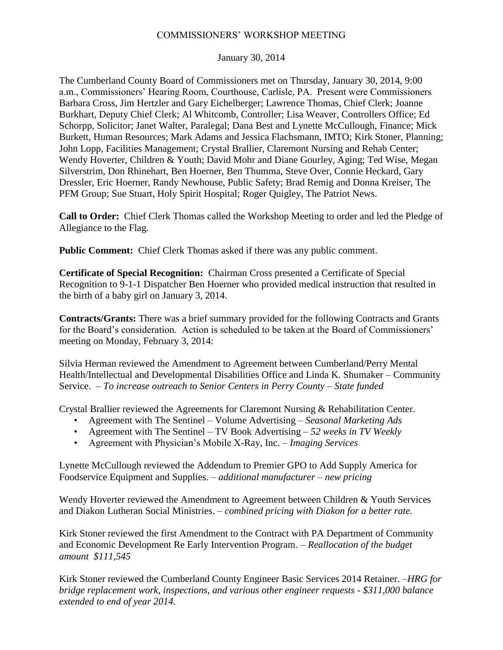## COMMISSIONERS' WORKSHOP MEETING

January 30, 2014

The Cumberland County Board of Commissioners met on Thursday, January 30, 2014, 9:00 a.m., Commissioners' Hearing Room, Courthouse, Carlisle, PA. Present were Commissioners Barbara Cross, Jim Hertzler and Gary Eichelberger; Lawrence Thomas, Chief Clerk; Joanne Burkhart, Deputy Chief Clerk; Al Whitcomb, Controller; Lisa Weaver, Controllers Office; Ed Schorpp, Solicitor; Janet Walter, Paralegal; Dana Best and Lynette McCullough, Finance; Mick Burkett, Human Resources; Mark Adams and Jessica Flachsmann, IMTO; Kirk Stoner, Planning; John Lopp, Facilities Management; Crystal Brallier, Claremont Nursing and Rehab Center; Wendy Hoverter, Children & Youth; David Mohr and Diane Gourley, Aging; Ted Wise, Megan Silverstrim, Don Rhinehart, Ben Hoerner, Ben Thumma, Steve Over, Connie Heckard, Gary Dressler, Eric Hoerner, Randy Newhouse, Public Safety; Brad Remig and Donna Kreiser, The PFM Group; Sue Stuart, Holy Spirit Hospital; Roger Quigley, The Patriot News.

**Call to Order:** Chief Clerk Thomas called the Workshop Meeting to order and led the Pledge of Allegiance to the Flag.

**Public Comment:** Chief Clerk Thomas asked if there was any public comment.

**Certificate of Special Recognition:** Chairman Cross presented a Certificate of Special Recognition to 9-1-1 Dispatcher Ben Hoerner who provided medical instruction that resulted in the birth of a baby girl on January 3, 2014.

**Contracts/Grants:** There was a brief summary provided for the following Contracts and Grants for the Board's consideration. Action is scheduled to be taken at the Board of Commissioners' meeting on Monday, February 3, 2014:

Silvia Herman reviewed the Amendment to Agreement between Cumberland/Perry Mental Health/Intellectual and Developmental Disabilities Office and Linda K. Shumaker – Community Service. – *To increase outreach to Senior Centers in Perry County – State funded*

Crystal Brallier reviewed the Agreements for Claremont Nursing & Rehabilitation Center.

- Agreement with The Sentinel Volume Advertising *Seasonal Marketing Ads*
- Agreement with The Sentinel TV Book Advertising *52 weeks in TV Weekly*
- Agreement with Physician's Mobile X-Ray, Inc. *Imaging Services*

Lynette McCullough reviewed the Addendum to Premier GPO to Add Supply America for Foodservice Equipment and Supplies. – *additional manufacturer – new pricing*

Wendy Hoverter reviewed the Amendment to Agreement between Children & Youth Services and Diakon Lutheran Social Ministries. – *combined pricing with Diakon for a better rate.*

Kirk Stoner reviewed the first Amendment to the Contract with PA Department of Community and Economic Development Re Early Intervention Program. – *Reallocation of the budget amount \$111,545*

Kirk Stoner reviewed the Cumberland County Engineer Basic Services 2014 Retainer. –*HRG for bridge replacement work, inspections, and various other engineer requests - \$311,000 balance extended to end of year 2014.*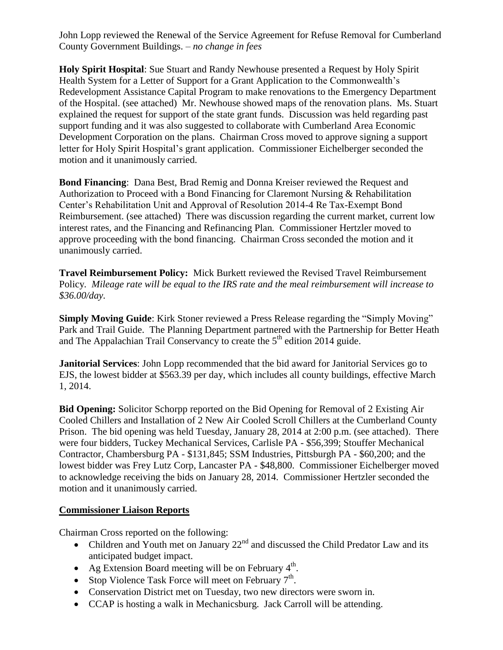John Lopp reviewed the Renewal of the Service Agreement for Refuse Removal for Cumberland County Government Buildings. – *no change in fees*

**Holy Spirit Hospital**: Sue Stuart and Randy Newhouse presented a Request by Holy Spirit Health System for a Letter of Support for a Grant Application to the Commonwealth's Redevelopment Assistance Capital Program to make renovations to the Emergency Department of the Hospital. (see attached) Mr. Newhouse showed maps of the renovation plans. Ms. Stuart explained the request for support of the state grant funds. Discussion was held regarding past support funding and it was also suggested to collaborate with Cumberland Area Economic Development Corporation on the plans. Chairman Cross moved to approve signing a support letter for Holy Spirit Hospital's grant application. Commissioner Eichelberger seconded the motion and it unanimously carried.

**Bond Financing**: Dana Best, Brad Remig and Donna Kreiser reviewed the Request and Authorization to Proceed with a Bond Financing for Claremont Nursing & Rehabilitation Center's Rehabilitation Unit and Approval of Resolution 2014-4 Re Tax-Exempt Bond Reimbursement. (see attached) There was discussion regarding the current market, current low interest rates, and the Financing and Refinancing Plan*.* Commissioner Hertzler moved to approve proceeding with the bond financing. Chairman Cross seconded the motion and it unanimously carried.

**Travel Reimbursement Policy:** Mick Burkett reviewed the Revised Travel Reimbursement Policy*. Mileage rate will be equal to the IRS rate and the meal reimbursement will increase to \$36.00/day.*

**Simply Moving Guide**: Kirk Stoner reviewed a Press Release regarding the "Simply Moving" Park and Trail Guide. The Planning Department partnered with the Partnership for Better Heath and The Appalachian Trail Conservancy to create the  $5<sup>th</sup>$  edition 2014 guide.

**Janitorial Services**: John Lopp recommended that the bid award for Janitorial Services go to EJS, the lowest bidder at \$563.39 per day, which includes all county buildings, effective March 1, 2014.

**Bid Opening:** Solicitor Schorpp reported on the Bid Opening for Removal of 2 Existing Air Cooled Chillers and Installation of 2 New Air Cooled Scroll Chillers at the Cumberland County Prison. The bid opening was held Tuesday, January 28, 2014 at 2:00 p.m. (see attached). There were four bidders, Tuckey Mechanical Services, Carlisle PA - \$56,399; Stouffer Mechanical Contractor, Chambersburg PA - \$131,845; SSM Industries, Pittsburgh PA - \$60,200; and the lowest bidder was Frey Lutz Corp, Lancaster PA - \$48,800. Commissioner Eichelberger moved to acknowledge receiving the bids on January 28, 2014. Commissioner Hertzler seconded the motion and it unanimously carried.

## **Commissioner Liaison Reports**

Chairman Cross reported on the following:

- Children and Youth met on January  $22<sup>nd</sup>$  and discussed the Child Predator Law and its anticipated budget impact.
- Ag Extension Board meeting will be on February  $4<sup>th</sup>$ .
- Stop Violence Task Force will meet on February  $7<sup>th</sup>$ .
- Conservation District met on Tuesday, two new directors were sworn in.
- CCAP is hosting a walk in Mechanicsburg. Jack Carroll will be attending.